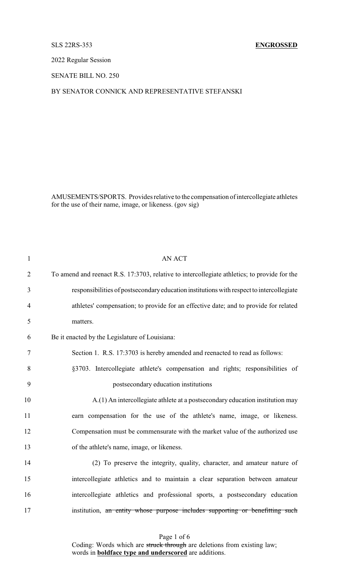### SLS 22RS-353 **ENGROSSED**

2022 Regular Session

SENATE BILL NO. 250

# BY SENATOR CONNICK AND REPRESENTATIVE STEFANSKI

AMUSEMENTS/SPORTS. Provides relative to the compensation of intercollegiate athletes for the use of their name, image, or likeness. (gov sig)

| $\mathbf{1}$   | <b>AN ACT</b>                                                                                |
|----------------|----------------------------------------------------------------------------------------------|
| $\overline{2}$ | To amend and reenact R.S. 17:3703, relative to intercollegiate athletics; to provide for the |
| 3              | responsibilities of postsecondary education institutions with respect to intercollegiate     |
| $\overline{4}$ | athletes' compensation; to provide for an effective date; and to provide for related         |
| 5              | matters.                                                                                     |
| 6              | Be it enacted by the Legislature of Louisiana:                                               |
| $\tau$         | Section 1. R.S. 17:3703 is hereby amended and reenacted to read as follows:                  |
| 8              | §3703. Intercollegiate athlete's compensation and rights; responsibilities of                |
| 9              | postsecondary education institutions                                                         |
| 10             | A.(1) An intercollegiate athlete at a postsecondary education institution may                |
| 11             | earn compensation for the use of the athlete's name, image, or likeness.                     |
| 12             | Compensation must be commensurate with the market value of the authorized use                |
| 13             | of the athlete's name, image, or likeness.                                                   |
| 14             | (2) To preserve the integrity, quality, character, and amateur nature of                     |
| 15             | intercollegiate athletics and to maintain a clear separation between amateur                 |
| 16             | intercollegiate athletics and professional sports, a postsecondary education                 |
| 17             | institution, an entity whose purpose includes supporting or benefitting such                 |
|                |                                                                                              |

Page 1 of 6 Coding: Words which are struck through are deletions from existing law; words in **boldface type and underscored** are additions.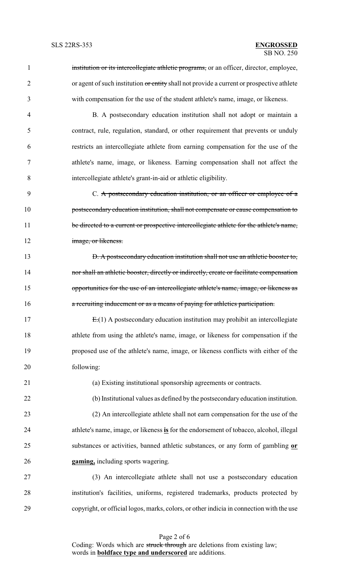1 institution or its intercollegiate athletic programs, or an officer, director, employee, 2 or agent of such institution or entity shall not provide a current or prospective athlete with compensation for the use of the student athlete's name, image, or likeness. B. A postsecondary education institution shall not adopt or maintain a contract, rule, regulation, standard, or other requirement that prevents or unduly restricts an intercollegiate athlete from earning compensation for the use of the athlete's name, image, or likeness. Earning compensation shall not affect the intercollegiate athlete's grant-in-aid or athletic eligibility. 9 C. A postsecondary education institution, or an officer or employee of a **postsecondary education institution, shall not compensate or cause compensation to** 11 be directed to a current or prospective intercollegiate athlete for the athlete's name, **image**, or likeness. **D. A postsecondary education institution shall not use an athletic booster to, nor shall an athletic booster, directly or indirectly, create or facilitate compensation** 15 opportunities for the use of an intercollegiate athlete's name, image, or likeness as **a recruiting inducement or as a means of paying for athletics participation.**  E.(1) A postsecondary education institution may prohibit an intercollegiate athlete from using the athlete's name, image, or likeness for compensation if the proposed use of the athlete's name, image, or likeness conflicts with either of the following: (a) Existing institutional sponsorship agreements or contracts. (b) Institutional values as defined by the postsecondary education institution. (2) An intercollegiate athlete shall not earn compensation for the use of the athlete's name, image, or likeness **is** for the endorsement of tobacco, alcohol, illegal substances or activities, banned athletic substances, or any form of gambling **or gaming,** including sports wagering. (3) An intercollegiate athlete shall not use a postsecondary education institution's facilities, uniforms, registered trademarks, products protected by copyright, or official logos, marks, colors, or other indicia in connection with the use

Page 2 of 6 Coding: Words which are struck through are deletions from existing law; words in **boldface type and underscored** are additions.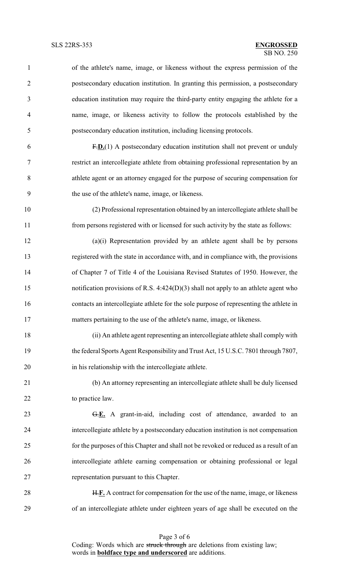- of the athlete's name, image, or likeness without the express permission of the postsecondary education institution. In granting this permission, a postsecondary education institution may require the third-party entity engaging the athlete for a name, image, or likeness activity to follow the protocols established by the postsecondary education institution, including licensing protocols. F.**D.**(1) A postsecondary education institution shall not prevent or unduly restrict an intercollegiate athlete from obtaining professional representation by an athlete agent or an attorney engaged for the purpose of securing compensation for the use of the athlete's name, image, or likeness. (2) Professional representation obtained by an intercollegiate athlete shall be from persons registered with or licensed for such activity by the state as follows: (a)(i) Representation provided by an athlete agent shall be by persons registered with the state in accordance with, and in compliance with, the provisions of Chapter 7 of Title 4 of the Louisiana Revised Statutes of 1950. However, the notification provisions of R.S. 4:424(D)(3) shall not apply to an athlete agent who contacts an intercollegiate athlete for the sole purpose of representing the athlete in matters pertaining to the use of the athlete's name, image, or likeness. (ii) An athlete agent representing an intercollegiate athlete shall comply with the federal Sports Agent Responsibility and Trust Act, 15 U.S.C. 7801 through 7807, in his relationship with the intercollegiate athlete. (b) An attorney representing an intercollegiate athlete shall be duly licensed 22 to practice law. G.**E.** A grant-in-aid, including cost of attendance, awarded to an intercollegiate athlete by a postsecondary education institution is not compensation
- for the purposes of this Chapter and shall not be revoked or reduced as a result of an intercollegiate athlete earning compensation or obtaining professional or legal representation pursuant to this Chapter.
- H.**F.** A contract for compensation for the use of the name, image, or likeness of an intercollegiate athlete under eighteen years of age shall be executed on the

Page 3 of 6 Coding: Words which are struck through are deletions from existing law; words in **boldface type and underscored** are additions.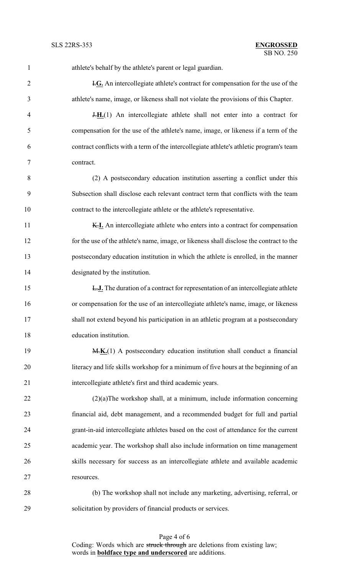| $\mathbf{1}$   | athlete's behalf by the athlete's parent or legal guardian.                              |
|----------------|------------------------------------------------------------------------------------------|
| $\overline{2}$ | <b>I.G.</b> An intercollegiate athlete's contract for compensation for the use of the    |
| 3              | athlete's name, image, or likeness shall not violate the provisions of this Chapter.     |
| $\overline{4}$ | $H_{1}(1)$ An intercollegiate athlete shall not enter into a contract for                |
| 5              | compensation for the use of the athlete's name, image, or likeness if a term of the      |
| 6              | contract conflicts with a term of the intercollegiate athlete's athletic program's team  |
| $\tau$         | contract.                                                                                |
| 8              | (2) A postsecondary education institution asserting a conflict under this                |
| 9              | Subsection shall disclose each relevant contract term that conflicts with the team       |
| 10             | contract to the intercollegiate athlete or the athlete's representative.                 |
| 11             | K.I. An intercollegiate athlete who enters into a contract for compensation              |
| 12             | for the use of the athlete's name, image, or likeness shall disclose the contract to the |
| 13             | postsecondary education institution in which the athlete is enrolled, in the manner      |
| 14             | designated by the institution.                                                           |
| 15             | <b>L.J.</b> The duration of a contract for representation of an intercollegiate athlete  |
| 16             | or compensation for the use of an intercollegiate athlete's name, image, or likeness     |
| 17             | shall not extend beyond his participation in an athletic program at a postsecondary      |
| 18             | education institution.                                                                   |
| 19             | M.K.(1) A postsecondary education institution shall conduct a financial                  |
| 20             | literacy and life skills workshop for a minimum of five hours at the beginning of an     |
| 21             | intercollegiate athlete's first and third academic years.                                |
| 22             | $(2)(a)$ The workshop shall, at a minimum, include information concerning                |
| 23             | financial aid, debt management, and a recommended budget for full and partial            |
| 24             | grant-in-aid intercollegiate athletes based on the cost of attendance for the current    |
| 25             | academic year. The workshop shall also include information on time management            |
| 26             | skills necessary for success as an intercollegiate athlete and available academic        |
| 27             | resources.                                                                               |
| 28             | (b) The workshop shall not include any marketing, advertising, referral, or              |
| 29             | solicitation by providers of financial products or services.                             |

Page 4 of 6 Coding: Words which are struck through are deletions from existing law; words in **boldface type and underscored** are additions.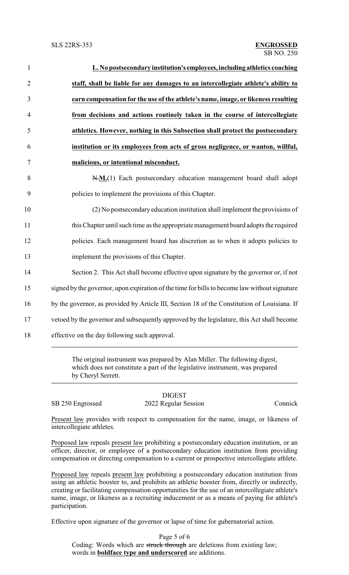| L. No postsecondary institution's employees, including athletics coaching                     |
|-----------------------------------------------------------------------------------------------|
| staff, shall be liable for any damages to an intercollegiate athlete's ability to             |
| earn compensation for the use of the athlete's name, image, or likeness resulting             |
| from decisions and actions routinely taken in the course of intercollegiate                   |
| athletics. However, nothing in this Subsection shall protect the postsecondary                |
| institution or its employees from acts of gross negligence, or wanton, willful,               |
| malicious, or intentional misconduct.                                                         |
| N.M.(1) Each postsecondary education management board shall adopt                             |
| policies to implement the provisions of this Chapter.                                         |
| (2) No postsecondary education institution shall implement the provisions of                  |
| this Chapter until such time as the appropriate management board adopts the required          |
| policies. Each management board has discretion as to when it adopts policies to               |
| implement the provisions of this Chapter.                                                     |
| Section 2. This Act shall become effective upon signature by the governor or, if not          |
| signed by the governor, upon expiration of the time for bills to become law without signature |
| by the governor, as provided by Article III, Section 18 of the Constitution of Louisiana. If  |
| vetoed by the governor and subsequently approved by the legislature, this Act shall become    |
| effective on the day following such approval.                                                 |

The original instrument was prepared by Alan Miller. The following digest, which does not constitute a part of the legislative instrument, was prepared by Cheryl Serrett.

SB 250 Engrossed 2022 Regular Session Connick

DIGEST

Present law provides with respect to compensation for the name, image, or likeness of intercollegiate athletes.

Proposed law repeals present law prohibiting a postsecondary education institution, or an officer, director, or employee of a postsecondary education institution from providing compensation or directing compensation to a current or prospective intercollegiate athlete.

Proposed law repeals present law prohibiting a postsecondary education institution from using an athletic booster to, and prohibits an athletic booster from, directly or indirectly, creating or facilitating compensation opportunities for the use of an intercollegiate athlete's name, image, or likeness as a recruiting inducement or as a means of paying for athlete's participation.

Effective upon signature of the governor or lapse of time for gubernatorial action.

Page 5 of 6 Coding: Words which are struck through are deletions from existing law; words in **boldface type and underscored** are additions.